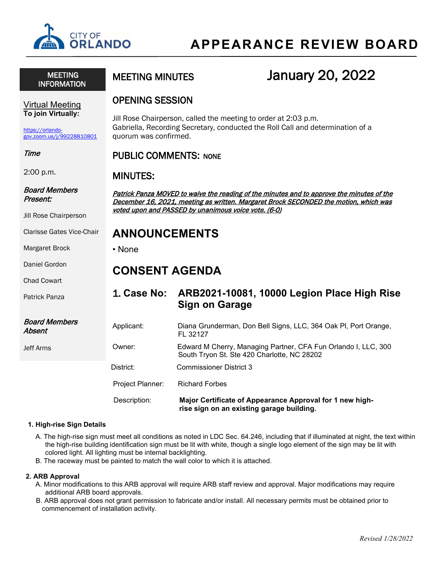

 MEETING INFORMATION

# MEETING MINUTES **January 20, 2022**

### OPENING SESSION

Jill Rose Chairperson, called the meeting to order at 2:03 p.m. Gabriella, Recording Secretary, conducted the Roll Call and determination of a quorum was confirmed.

### PUBLIC COMMENTS: NONE

### MINUTES:

Patrick Panza MOVED to waive the reading of the minutes and to approve the minutes of the December 16, 2021, meeting as written. Margaret Brock SECONDED the motion, which was voted upon and PASSED by unanimous voice vote. (6-0)

# **ANNOUNCEMENTS**

• None

# **CONSENT AGENDA**

# 1. **Case No: ARB2021-10081, 10000 Legion Place High Rise Sign on Garage**

Applicant: Diana Grunderman, Don Bell Signs, LLC, 364 Oak Pl, Port Orange, FL 32127 Owner: Edward M Cherry, Managing Partner, CFA Fun Orlando I, LLC, 300

South Tryon St. Ste 420 Charlotte, NC 28202

District: Commissioner District 3

Project Planner: Richard Forbes

Description: **Major Certificate of Appearance Approval for 1 new high rise sign on an existing garage building.**

### **1. High-rise Sign Details**

- A. The high-rise sign must meet all conditions as noted in LDC Sec. 64.246, including that if illuminated at night, the text within the high-rise building identification sign must be lit with white, though a single logo element of the sign may be lit with colored light. All lighting must be internal backlighting.
- B. The raceway must be painted to match the wall color to which it is attached.

#### **2. ARB Approval**

- A. Minor modifications to this ARB approval will require ARB staff review and approval. Major modifications may require additional ARB board approvals.
- B. ARB approval does not grant permission to fabricate and/or install. All necessary permits must be obtained prior to commencement of installation activity.

Virtual Meeting **To join Virtually:**

[https://orlando](https://orlando-gov.zoom.us/j/99228810801)[gov.zoom.us/j/99228810801](https://orlando-gov.zoom.us/j/99228810801)

#### Time

2:00 p.m.

### Board Members Present:

Jill Rose Chairperson

Clarisse Gates Vice-Chair

Margaret Brock

Daniel Gordon

Chad Cowart

Patrick Panza

### Board Members Absent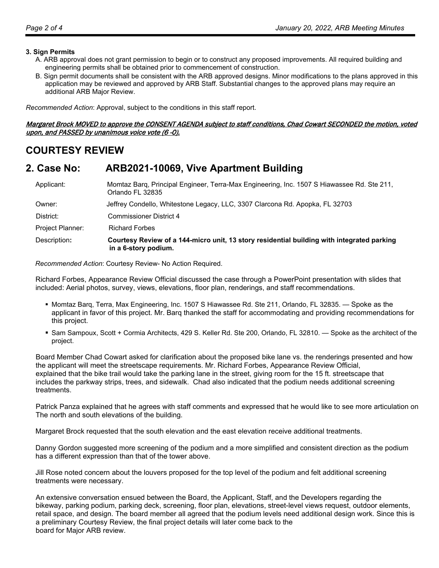#### **3. Sign Permits**

- A. ARB approval does not grant permission to begin or to construct any proposed improvements. All required building and engineering permits shall be obtained prior to commencement of construction.
- B. Sign permit documents shall be consistent with the ARB approved designs. Minor modifications to the plans approved in this application may be reviewed and approved by ARB Staff. Substantial changes to the approved plans may require an additional ARB Major Review.

*Recommended Action*: Approval, subject to the conditions in this staff report.

Margaret Brock MOVED to approve the CONSENT AGENDA subject to staff conditions, Chad Cowart SECONDED the motion, voted upon, and PASSED by unanimous voice vote (6 -0).

# **COURTESY REVIEW**

### **2. Case No: ARB2021-10069, Vive Apartment Building**

Applicant: Momtaz Barq, Principal Engineer, Terra-Max Engineering, Inc. 1507 S Hiawassee Rd. Ste 211, Orlando FL 32835 Owner: Jeffrey Condello, Whitestone Legacy, LLC, 3307 Clarcona Rd. Apopka, FL 32703 District: Commissioner District 4 Project Planner: Richard Forbes Description**: Courtesy Review of a 144-micro unit, 13 story residential building with integrated parking in a 6-story podium.** 

 *Recommended Action*: Courtesy Review- No Action Required.

Richard Forbes, Appearance Review Official discussed the case through a PowerPoint presentation with slides that included: Aerial photos, survey, views, elevations, floor plan, renderings, and staff recommendations.

- Momtaz Barq, Terra, Max Engineering, Inc. 1507 S Hiawassee Rd. Ste 211, Orlando, FL 32835. Spoke as the applicant in favor of this project. Mr. Barq thanked the staff for accommodating and providing recommendations for this project.
- Sam Sampoux, Scott + Cormia Architects, 429 S. Keller Rd. Ste 200, Orlando, FL 32810. Spoke as the architect of the project.

 Board Member Chad Cowart asked for clarification about the proposed bike lane vs. the renderings presented and how the applicant will meet the streetscape requirements. Mr. Richard Forbes, Appearance Review Official, explained that the bike trail would take the parking lane in the street, giving room for the 15 ft. streetscape that includes the parkway strips, trees, and sidewalk. Chad also indicated that the podium needs additional screening treatments.

 Patrick Panza explained that he agrees with staff comments and expressed that he would like to see more articulation on The north and south elevations of the building.

Margaret Brock requested that the south elevation and the east elevation receive additional treatments.

Danny Gordon suggested more screening of the podium and a more simplified and consistent direction as the podium has a different expression than that of the tower above.

Jill Rose noted concern about the louvers proposed for the top level of the podium and felt additional screening treatments were necessary.

 An extensive conversation ensued between the Board, the Applicant, Staff, and the Developers regarding the bikeway, parking podium, parking deck, screening, floor plan, elevations, street-level views request, outdoor elements, retail space, and design. The board member all agreed that the podium levels need additional design work. Since this is a preliminary Courtesy Review, the final project details will later come back to the board for Major ARB review.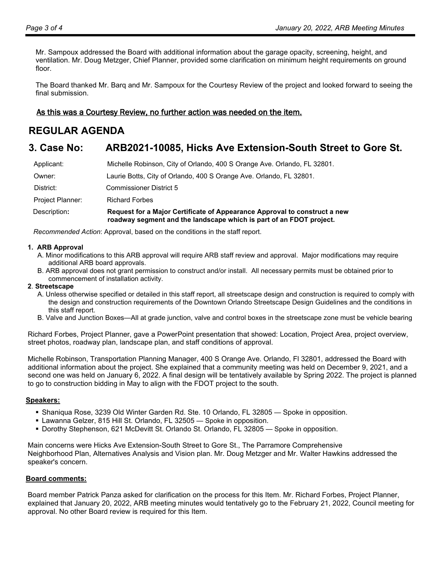Mr. Sampoux addressed the Board with additional information about the garage opacity, screening, height, and ventilation. Mr. Doug Metzger, Chief Planner, provided some clarification on minimum height requirements on ground floor.

 The Board thanked Mr. Barq and Mr. Sampoux for the Courtesy Review of the project and looked forward to seeing the final submission.

### As this was a Courtesy Review, no further action was needed on the item.

# **REGULAR AGENDA**

# **3. Case No: ARB2021-10085, Hicks Ave Extension-South Street to Gore St.**

| Description:     | Request for a Major Certificate of Appearance Approval to construct a new<br>roadway segment and the landscape which is part of an FDOT project. |
|------------------|--------------------------------------------------------------------------------------------------------------------------------------------------|
| Project Planner: | <b>Richard Forbes</b>                                                                                                                            |
| District:        | <b>Commissioner District 5</b>                                                                                                                   |
| Owner:           | Laurie Botts, City of Orlando, 400 S Orange Ave. Orlando, FL 32801.                                                                              |
| Applicant:       | Michelle Robinson, City of Orlando, 400 S Orange Ave. Orlando, FL 32801.                                                                         |

 *Recommended Action*: Approval, based on the conditions in the staff report.

#### **1. ARB Approval**

- A. Minor modifications to this ARB approval will require ARB staff review and approval. Major modifications may require additional ARB board approvals.
- B. ARB approval does not grant permission to construct and/or install. All necessary permits must be obtained prior to commencement of installation activity.

#### **2**. **Streetscape**

- A. Unless otherwise specified or detailed in this staff report, all streetscape design and construction is required to comply with the design and construction requirements of the Downtown Orlando Streetscape Design Guidelines and the conditions in this staff report.
- B. Valve and Junction Boxes—All at grade junction, valve and control boxes in the streetscape zone must be vehicle bearing

Richard Forbes, Project Planner, gave a PowerPoint presentation that showed: Location, Project Area, project overview, street photos, roadway plan, landscape plan, and staff conditions of approval.

Michelle Robinson, Transportation Planning Manager, 400 S Orange Ave. Orlando, Fl 32801, addressed the Board with additional information about the project. She explained that a community meeting was held on December 9, 2021, and a second one was held on January 6, 2022. A final design will be tentatively available by Spring 2022. The project is planned to go to construction bidding in May to align with the FDOT project to the south.

### **Speakers:**

- Shaniqua Rose, 3239 Old Winter Garden Rd. Ste. 10 Orlando, FL 32805 Spoke in opposition.
- Lawanna Gelzer, 815 Hill St. Orlando, FL 32505 Spoke in opposition.
- **Dorothy Stephenson, 621 McDevitt St. Orlando St. Orlando, FL 32805 Spoke in opposition.**

Main concerns were Hicks Ave Extension-South Street to Gore St., The Parramore Comprehensive Neighborhood Plan, Alternatives Analysis and Vision plan. Mr. Doug Metzger and Mr. Walter Hawkins addressed the speaker's concern.

### **Board comments:**

Board member Patrick Panza asked for clarification on the process for this Item. Mr. Richard Forbes, Project Planner, explained that January 20, 2022, ARB meeting minutes would tentatively go to the February 21, 2022, Council meeting for approval. No other Board review is required for this Item.